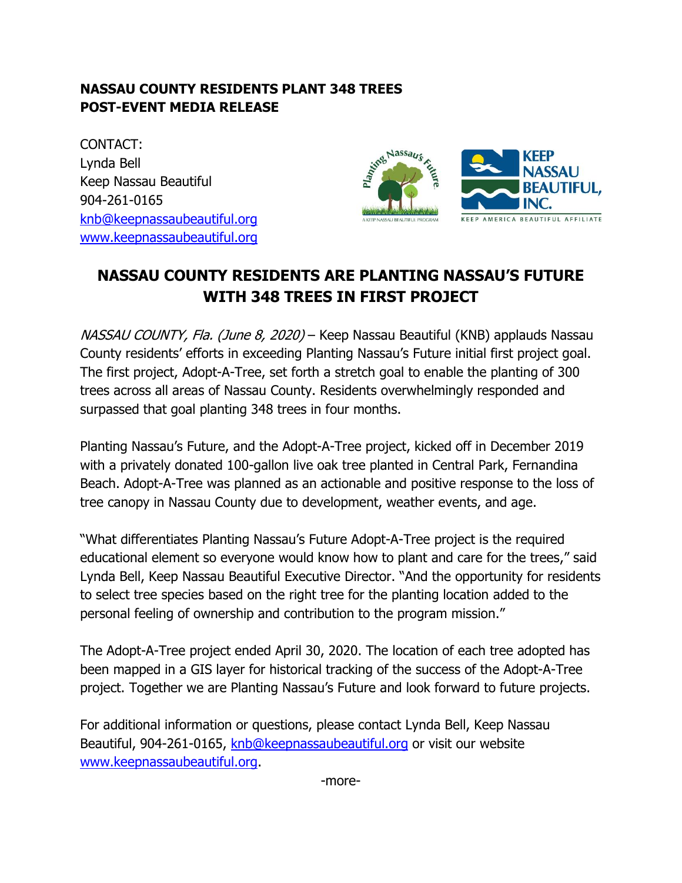## **NASSAU COUNTY RESIDENTS PLANT 348 TREES POST-EVENT MEDIA RELEASE**

CONTACT: Lynda Bell Keep Nassau Beautiful 904-261-0165 [knb@keepnassaubeautiful.org](mailto:knb@keepnassaubeautiful.org) [www.keepnassaubeautiful.org](http://www.keepnassaubeautiful.org/)



## **NASSAU COUNTY RESIDENTS ARE PLANTING NASSAU'S FUTURE WITH 348 TREES IN FIRST PROJECT**

NASSAU COUNTY, Fla. (June 8, 2020) – Keep Nassau Beautiful (KNB) applauds Nassau County residents' efforts in exceeding Planting Nassau's Future initial first project goal. The first project, Adopt-A-Tree, set forth a stretch goal to enable the planting of 300 trees across all areas of Nassau County. Residents overwhelmingly responded and surpassed that goal planting 348 trees in four months.

Planting Nassau's Future, and the Adopt-A-Tree project, kicked off in December 2019 with a privately donated 100-gallon live oak tree planted in Central Park, Fernandina Beach. Adopt-A-Tree was planned as an actionable and positive response to the loss of tree canopy in Nassau County due to development, weather events, and age.

"What differentiates Planting Nassau's Future Adopt-A-Tree project is the required educational element so everyone would know how to plant and care for the trees," said Lynda Bell, Keep Nassau Beautiful Executive Director. "And the opportunity for residents to select tree species based on the right tree for the planting location added to the personal feeling of ownership and contribution to the program mission."

The Adopt-A-Tree project ended April 30, 2020. The location of each tree adopted has been mapped in a GIS layer for historical tracking of the success of the Adopt-A-Tree project. Together we are Planting Nassau's Future and look forward to future projects.

For additional information or questions, please contact Lynda Bell, Keep Nassau Beautiful, 904-261-0165, [knb@keepnassaubeautiful.org](mailto:knb@keepnassaubeautiful.org) or visit our website [www.keepnassaubeautiful.org.](http://www.keepnassaubeautiful.org/)

-more-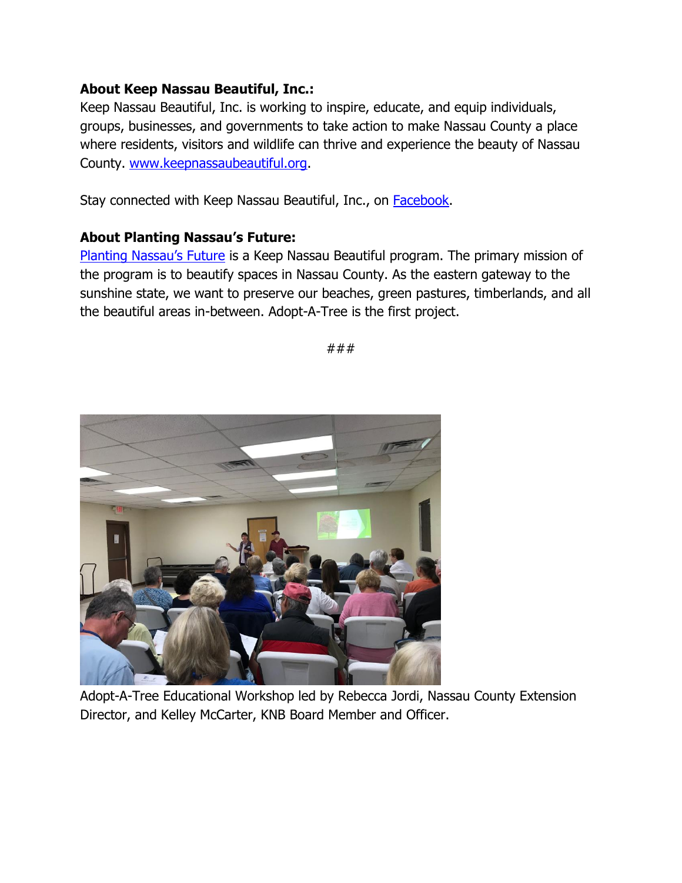## **About Keep Nassau Beautiful, Inc.:**

Keep Nassau Beautiful, Inc. is working to inspire, educate, and equip individuals, groups, businesses, and governments to take action to make Nassau County a place where residents, visitors and wildlife can thrive and experience the beauty of Nassau County. [www.keepnassaubeautiful.org.](http://www.keepnassaubeautiful.org/)

Stay connected with Keep Nassau Beautiful, Inc., on **Facebook**.

## **About Planting Nassau's Future:**

[Planting Nassau's Future](https://keepnassaubeautiful.org/programs/planting-nassaus-future/) is a Keep Nassau Beautiful program. The primary mission of the program is to beautify spaces in Nassau County. As the eastern gateway to the sunshine state, we want to preserve our beaches, green pastures, timberlands, and all the beautiful areas in-between. Adopt-A-Tree is the first project.

###



Adopt-A-Tree Educational Workshop led by Rebecca Jordi, Nassau County Extension Director, and Kelley McCarter, KNB Board Member and Officer.